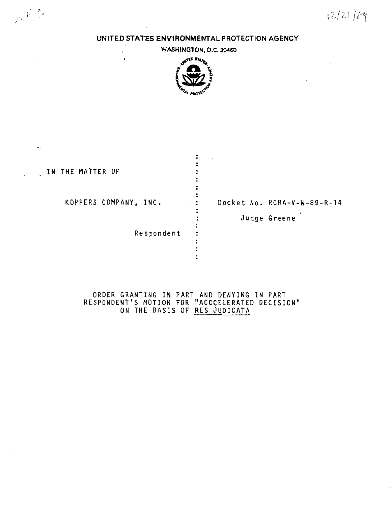# 12/21/69

## **UNITED STATES ENVIRONMENTAL PROTECTION AGENCY**

 $\frac{1}{P^*}\widetilde{V} \stackrel{\pi}{\longrightarrow}$ 

 $\mathbf{r}$  $\ddot{\phantom{1}}$ 



| IN THE MATTER OF      |                                                       |
|-----------------------|-------------------------------------------------------|
| KOPPERS COMPANY, INC. | Docket No. RCRA-V-W-89-R-14<br>$\sim$<br>Judge Greene |
| Respondent            |                                                       |

## ORDER GRANTING IN PART AND DENYING IN PART RESPONDENT'S MOTION FOR "ACCCELERATED DECISION" ON THE BASIS OF RES JUDICATA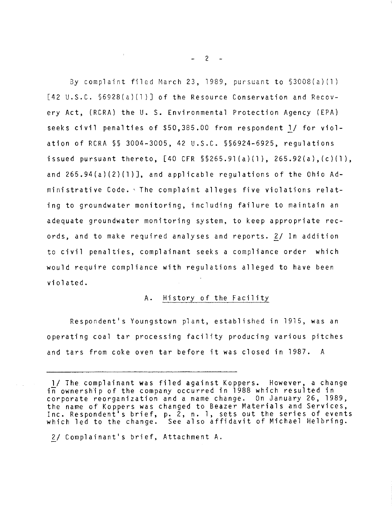By complaint filed March 23, 1989, pursuant to  $$3008(a)(1)$ [42 U.S.C. §6928(a)(l )] of the Resource Conservation and Recovery Act, (RCRA) the U. S. Environmental Protection Agency (EPA) seeks civil penalties of \$50,385.00 from respondent l/ for violation of RCRA §§ 3004-3005, 42 U.S.C. §§6924-6925, regulations issued pursuant thereto, [40 CFR §§265.9l(a)(l ), 265.92(a),(c)(l), and 265.94(a)(2)(1)], and applicable regulations of the Ohio Administrative Code.' The complaint alleges five violations relating to groundwater monitoring, including failure to maintain an adequate groundwater monitoring system, to keep appropriate records, and to make required analyses and reports. 2/ In addition to civil penalties, complainant seeks a compliance order which would require compliance with regulations alleged to have been violated.

### A. History of the Facility

Respondent's Youngstown plant, established in 1915, was an operating coal tar processing facility producing various pitches and tars from coke oven tar before it was closed in 1987. A

2/ Complainant's brief, Attachment A.

 $-2 - 2$ 

 $\sim$ 

<sup>1/</sup> The complainant was filed against Koppers. However, a change  $i\overline{n}$  ownership of the company occurred in 1988 which resulted in corporate reorganization and a name change. On January 26, 1989, the name of Koppers was changed to Beazer Materials and Services, Inc. Respondent's brief, p. 2, n. 1, sets out the series of events which led to the change. See also affidavit of Michael Helbring.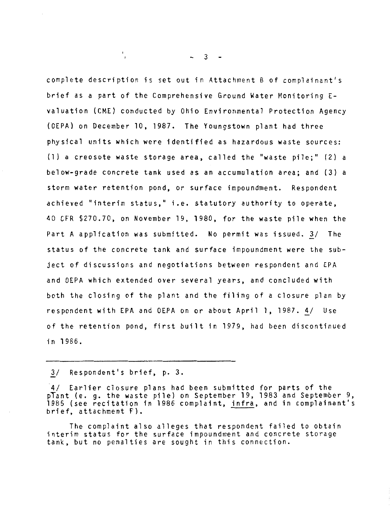complete description is set out in Attachment B of complainant's brief as a part of the Comprehensive Ground Water Monitoring Evaluation (CME) conducted by Ohio Environmental Protection Agency (OEPA) on December 10, 1987. The Youngstown plant had three physical units which were identified as hazardous waste sources: (1) a creosote waste storage area, called the "waste pile;" (2) a below-grade concrete tank used as an accumulation area; and (3) a storm water retention pond, or surface impoundment. Respondent achieved "interim status," i.e. statutory authority to operate, 40 CFR §270.70, on November 1g, 1980, for the waste pile when the Part A application was submitted. No permit was issued. 3/ The status of the concrete tank and surface impoundment were the subject of discussions and negotiations between respondent and EPA and OEPA which extended *over* several years, and concluded with both the closing of the plant and the filing of a closure plan by respondent with EPA and OEPA on or about April 1, 1987. 4/ Use of the retention pond, first built in 1979, had been discontinued in 1986.

3/ Respondent's brief, p. 3.

 $\mathcal{L}_{\mathbf{r}}$ 

4/ Earlier closure plans had been submitted for parts of the pTant (e. g. the waste pile) on September 19, 1983 and September 9, 1985 (see recitation in 1986 complaint, infra, and in complainant's brief, attachment F).

The complaint also alleges that respondent failed to obtain interim status for the surface impoundment and concrete storage tank, but no penalties are sought in this connection.

 $-3 -$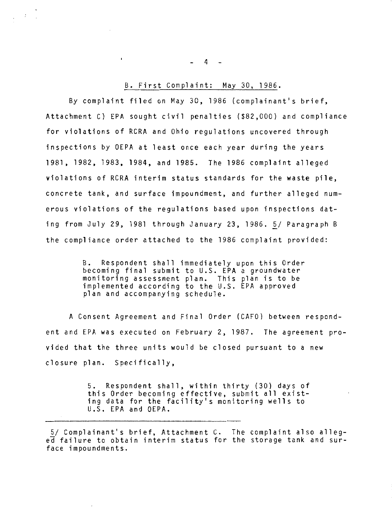### B. First Complaint: May 30, 1986.

By complaint filed on May 30, 1986 (complainant's brief, Attachment C) EPA sought civil penalties (\$82,000) and compliance for violations of RCRA and Ohio regulations uncovered through inspections by OEPA at least once each year during the years 1981, 1982, 1983, 1984, and 1985. The 1986 complaint alleged violations of RCRA interim status standards for the waste pile, concrete tank, and surface impoundment, and further alleged numerous violations of the regulations based upon inspections dating from July 29, 1981 through January 23, 1986. 5/ Paragraph B the compliance order attached to the 1986 complaint provided:

> B. Respondent shall immediately upon this Order becoming final submit to U.S. EPA a groundwater monitoring assessment plan. This plan is to be implemented according to the U.S. EPA approved plan and accompanying schedule.

A Consent Agreement and Final Order (CAFO) between respondent and EPA was executed on February 2, 1987. The agreement provided that the three units would be closed pursuant to a new closure plan. Specifically,

> 5. Respondent shall, within thirty (30) days of this Order becoming effective, submit all existing data for the facility's monitoring wells to U.S. EPA and OEPA.

4

 $\mathbf{r}$ 

 $\sim 2\,$   $^{-1}$  .

<sup>5/</sup> Complainant's brief, Attachment C. The complaint also alleged failure to obtain interim status for the storage tank and surface impoundments.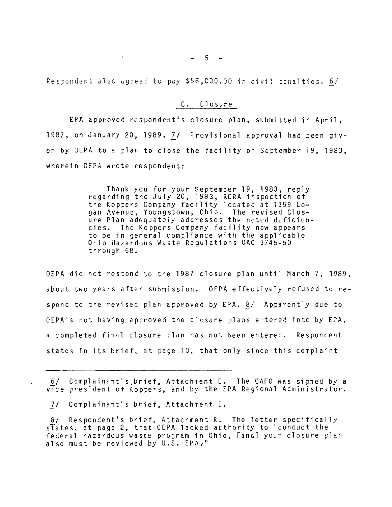$-5-$ 

Respondent alsc agreed to pay \$66,000.00 in civil penalties. 6/

 $\ddot{\cdot}$ 

# C. Closure

EPA approved respondent's closure plan, submitted in April, 1987, on January 20, 1989. 7/ Provisional approval had been given by OEPA to a plan to close the facility on September 19, 1983, wherein OEPA wrote respondent:

> Thank you for your September 19, 1983, reply regarding the July 20, 1983, RCRA inspection of the Koppers Company facility located at 1359 Logan Avenue, Youngstown, Ohio. The revised Closure Plan adequately addresses the noted deficiencies. The Koppers Company facility now appears to be in general compliance with the applicable Ohio Hazardous Waste Regulations OAC 3745-50 through 68.

OEPA did not respond to the 1987 closure plan until March 7, 1989, about two years after submission. OEPA effectively refused to respond to the revised plan approved by EPA. 8/ Apparently due to OEPA's not having approved the closure plans entered into by EPA, a completed final closure plan has not been entered. Respondent states in its brief, at page 10, that only since this complaint

6/ Complainant's.brief, Attachment E. The CAFO was signed by a vTce president of Koppers, and by the EPA Regional Administrator.

7/ Complainant's brief, Attachment I.

8/ Respondent's brief, Attachment R. The letter specifically states, at page 2, that OEPA lacked authority to "conduct the federal hazardous waste program in Ohio, [and] your closure plan also must be reviewed by U.S. EPA,"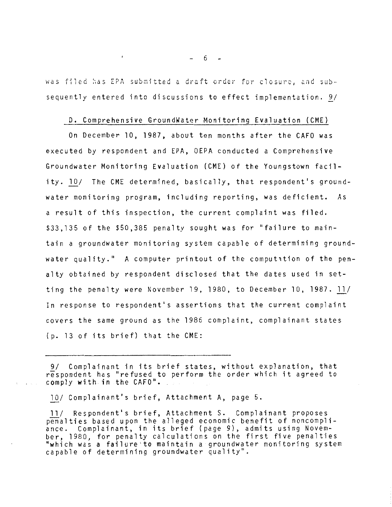was filed has EPA submitted a draft order for closure, and subsequently entered into discussions to effect implementation. 9/

#### D. Comprehensive GroundWater Monitoring Evaluation (CME)

On December 10, 1987, about ten months after the CAFO was executed by respondent and EPA, OEPA conducted a Comprehensive Groundwater Monitoring Evaluation (CME) of the Youngstown facility. lQ/ The CME determined, basically, that respondent's groundwater monitoring program, including reporting, was deficient. As a result of this inspection, the current complaint was filed. \$33,135 of the \$50,385 penalty sought was for "failure to maintain a groundwater monitoring system capable of determining groundwater quality." A computer printout of the computation of the penalty obtained by respondent disclosed that the dates used in setting the penalty were November 19, 1980, to December 10, 1987. ll/ In response to respondent's assertions that the current complaint covers the same ground as the 1986 complaint, complainant states (p. 13 of its brief) that the CME:

9/ Complainant in its brief states, without explanation, that respondent has "refused to perform the order which it agreed to comply **with in** the CAFO".

lQ/ Complainant's brief, Attachment A, page 5.

11/ Respondent's brief, Attachment S. Complainant proposes penalties based upon the alleged economic benefit of noncompliance. Complainant, in its brief (page 9), admits using November, 1980, for penalty calculations on the first five penalties **"which** was a failure·to maintain a groundwater monitoring system capable of determining groundwater quality''.

 $-6-$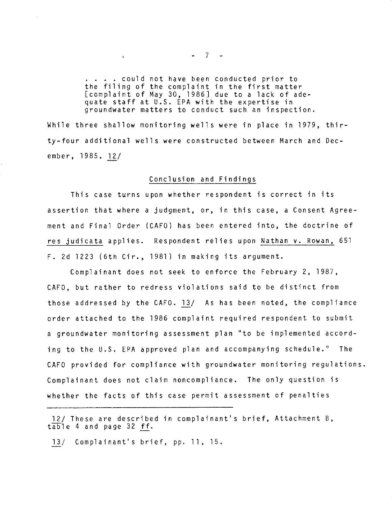•••• could not have been conducted prior to the filing of the complaint in the first matter [complaint of May 30, 1986] due to a lack of adequate staff at U.S. EPA with the expertise in groundwater matters to conduct such an inspection.

 $\mathbf{r}$ 

While three shallow monitoring wells were in place in 1979, thirty-four additional wells were constructed between March and December, 1985. 12/

#### Conclusion and Findings

This case turns upon whether respondent is correct in its assertion that where a judgment, or, in this case, a Consent Agreement and Final Order (CAFO} has been entered into, the doctrine of res judicata applies. Respondent relies upon Nathan v. Rowan, 651 F. 2d 1223 (6th Cir., 1981} in making its argument.

Complainant does not seek to enforce the February 2, 1987, CAFO, but rather to redress violations said to be distinct from those addressed by the CAFO. 13/ As has been noted, the compliance order attached to the 1986 complaint required respondent to submit a groundwater monitoring assessment plan "to be implemented according to the U.S. EPA approved plan and accompanying schedule.'' The CAFO provided for compliance with groundwater monitoring regulations. Complainant does not claim noncompliance. The only question is whether the facts of this case permit assessment of penalties

12/ These are described in complainant's brief, Attachment B, table 4 and page 32 ff.

*.lll* Complainant's brief, pp. 11, 15.

 $-7 -$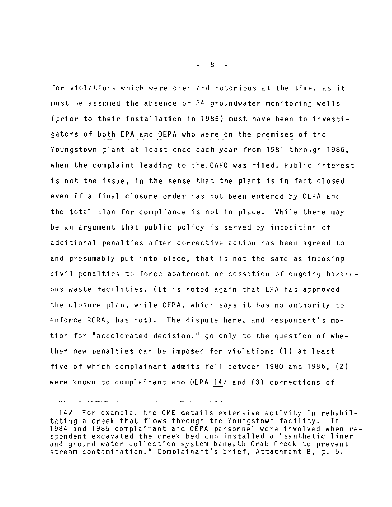for violations which were open and notorious at the time, as it must be assumed the absence of 34 groundwater monitoring wells (prior to their installation in 1985} must have been to investigators of both EPA and OEPA who were on the premises of the Youngstown plant at least once each year from 1981 through 1986, when the complaint leading to the.CAFO was filed. Public interest is not the issue, in the sense that the plant is in fact closed even if a final closure order has not been entered by OEPA and the total plan for compliance is not in place. While there may be an argument that public policy is served by imposition of additional penalties after corrective action has been agreed to and presumably put into place, that is not the same as imposing civil penalties to force abatement or cessation of ongoing hazardous waste facilities. (It is noted again that EPA has approved the closure plan, while OEPA, which says it has no authority to enforce RCRA, has not). The dispute here, and respondent's motion for "accelerated decision," go only to the question of whether new penalties can be imposed for violations (1) at least five of which complainant admits fell between 1980 and 1986, (2} were known to complainant and OEPA *li/* and (3) corrections of

8

<sup>14/</sup> For example, the CME details extensive activity in rehabiltating a creek that flows through the Youngstown facility. In 1984 and 1985 complainant and OEPA personnel were involved when respondent excavated the creek bed and installed a ''synthetic liner and ground water collection system beneath Crab Creek to prevent stream contamination." Complainant's brief, Attachment B, p. 5.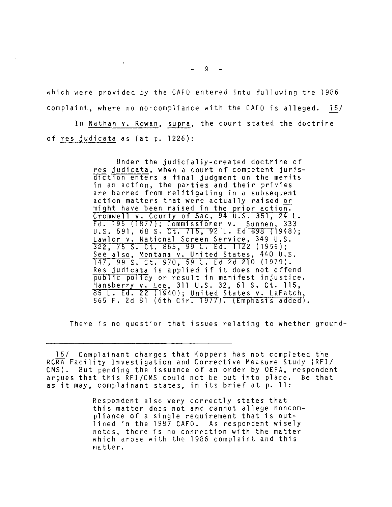$-9 -$ 

which were provided by the CAFO entered into following the 1986 complaint, where no noncompliance with the CAFO is alleged. 15/

 $\mathbf{r}$  .

In Nathan v. Rowan, supra, the court stated the doctrine of res judicata as (at p. 1226):

> Under the judicially-created doctrine of res judicata, when a court of competent jurisdiction enters a final judgment on the merits in an action, the parties and their privies are barred from relitigating in a subsequent action matters that were actually raised or might have been raised in the prior action. Cromwell v. County of Sac, 94 U.S. 351, 24 L. Ed. 195 (1877); Commissioner v. Sunnen, 333 U.S. 591, 68 S. Ct. 715, 92 L. Ed 898 (1948); Lawlor v. National Screen Service, 349 U.S. 322, 75 s. Ct. 865, 99 L. Ed. 1122 (1955); See also, Montana v. United States, 440 U.S. 147, 99 S. Ct. 970, 59 L. Ed 2d 210 (1979). Res judicata is applied if it does not offend public pol1cy or result in manifest injustice. Hansberry v. Lee, 311 U.S. 32, 61 S. Ct. 115, 85 L. Ed. 22 (1940); United States v. LaFatch, 565 F. 2d 81 (6th Cir. 19/7). (Emphasis added).

There is no question that issues relating to whether ground-

15/ Complainant charges that Koppers has not completed the RCRA Facility Investigation and Corrective Measure Study (RFI/ CMS). But pending the issuance of an order by OEPA, respondent argues that this RFI/CMS could not be put into place. Be that as it may, complainant states, in its brief at p. 11:

> Respondent also very correctly states that this matter does not and cannot allege noncompliance of a single requirement that is outlined in the 1987 CAFO. As respondent wisely notes, there is no connection with the matter which arose with the 1986 complaint and this matter.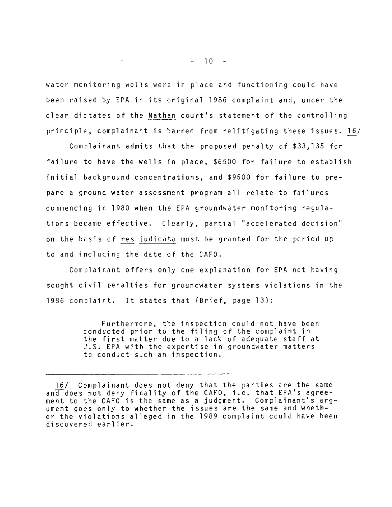water monitoring wells were in place and functioning could have been raised by EPA in its original 1986 complaint and, under the clear dictates of the Nathan court's statement of the controlling principle, complainant is barred from relitigating these issues.  $16/$ 

Complainant admits that the proposed penalty of \$33,135 for failure to have the wells in place, \$6500 for failure to establish initial background concentrations, and \$9500 for failure to prepare a ground water assessment program all relate to failures commencing in 1980 when the EPA groundwater monitoring regulations became effective. Clearly, partial "accelerated decision'' on the basis of res judicata must be granted for the period up to and including the date of the CAFO.

Complainant offers only one explanation for EPA not having sought civil penalties for groundwater systems violations in the 1986 complaint. It states that (Brief, page 13):

> Furthermore, the inspection could not have been conducted prior to the filing of the complaint in the first matter due to a lack of adequate staff at U.S. EPA with the expertise in groundwater matters to conduct such an inspection.

 $-10 -$ 

 $\mathbf{t} = \mathbf{0}$  ,  $\mathbf{0} = \mathbf{0}$ 

<sup>16/</sup> Complainant does not deny that the parties are the same and does not deny finality of the CAFO, i.e. that EPA's agreement to the CAFO is the same as a judgment. Complainant's argument goes only to whether the issues are the same and whether the violations alleged in the 1989 complaint could have been discovered earlier.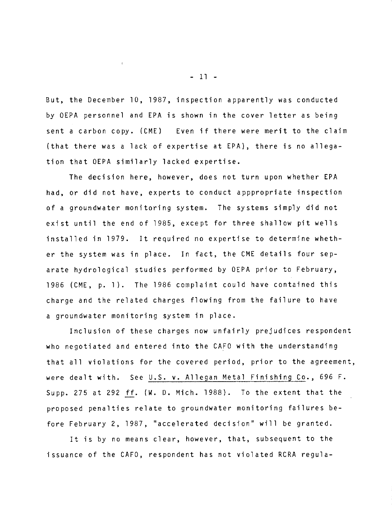But, the December 10, 1987, inspection apparently was conducted by OEPA personnel and EPA is shown in the cover letter as being sent a carbon copy. (CME) Even if there were merit to the claim (that there was a lack of expertise at EPA), there is no allegation that OEPA similarly lacked expertise.

The decision here, however, does not turn upon whether EPA had, or did not have, experts to conduct apppropriate inspection of a groundwater monitoring system. The systems simply did not exist until the end of 1985, except for three shallow pit wells installed in 1979. It required no expertise to determine whether the system was in place. In fact, the CME details four separate hydrological studies performed by OEPA prior to February, 1986 (CME, p. 1). The 1986 complaint could have contained this charge and the related charges flowing from the failure to have a groundwater monitoring system in place.

Inclusion of these charges now unfairly prejudices respondent who negotiated and entered into the CAFO with the understanding that all violations for the covered period, prior to the agreement, were dealt with. See U.S. v. Allegan Metal Finishing Co., 696 F. Supp. 275 at 292 ff. (W. D. Mich. 1988). To the extent that the proposed penalties relate to groundwater monitoring failures before February 2, 1987, "accelerated decision" will be granted.

It is by no means clear, however, that, subsequent to the issuance of the CAFO, respondent has not violated RCRA regula-

- 11 -

 $\mathcal{L}$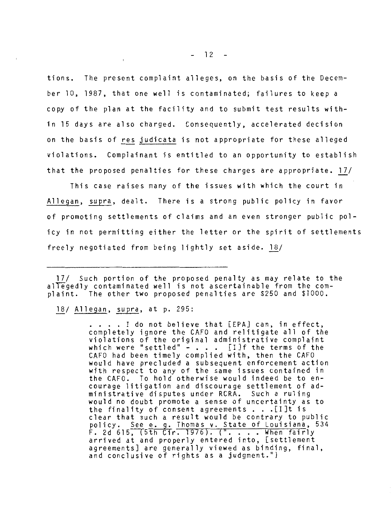tions. The present complaint alleges, on the basis of the December 10, 1987, that one well is contaminated; failures to keep a copy of the plan at the facility and to submit test results within 15 days are also charged. Consequently, accelerated decision on the basis of res judicata is not appropriate for these alleged violations. Complainant is entitled to an opportunity to establish that the proposed penalties for these charges are appropriate.  $17/$ 

This case raises many of the issues with which the court in Allegan, supra, dealt. There is a strong public policy in favor of promoting settlements of claims and an even stronger public policy in not permitting either the letter or the spirit of settlements freely negotiated from being lightly set aside.  $18/$ 

17/ Such portion of the proposed penalty as may relate to the allegedly contaminated well is not ascertainable from the complaint. The other two proposed penalties are \$250 and \$1000.

18/ Allegan, supra, at p. 295:

 $\mathbf{r}$ 

. . . . I do not believe that [EPA] can, in effect, completely ignore the CAFO and relitigate all of the violations of the original administrative complaint<br>which were "settled" -  $\cdot \cdot \cdot$  [I]f the terms of the which were "settled"  $\frac{1}{2}$  . . . [I]f the terms of the CAFO had been timely complied with, then the CAFO would have precluded a subsequent enforcement action with respect to any of the same issues contained in the CAFO. To hold otherwise would indeed be to encourage litigation and discourage settlement of administrative disputes under RCRA. Such a ruling would no doubt promote a sense of uncertainty as to the finality of consent agreements  $\ldots$  . [I]t is<br>clear that such a result would be contrary to public clear that such a result would be contrary to public<br>policy. See e. g. Thomas v. State of Louisiana, 534 policy. See e.g. Thomas v. State of Louisiana,<br>F. 2d 615, (5th Cir. 1976). (" · · · · · When fairly arrived at and properly entered into, [settlement agreements] are generally viewed as binding, final, and conclusive of rights as a judgment.")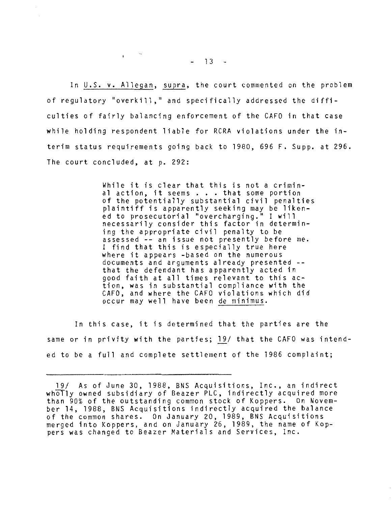In U.S. v. Allegan, supra, the court commented on the problem of regulatory ''overkill,'' and specifically addressed the difficulties of fairly balancing enforcement of the CAFO in that case while holding respondent liable for RCRA violations under the interim status requirements going back to 1980, 696 F. Supp. at 296. The court concluded, at p. 292:

> While it is clear that this is not a criminal action, it seems . . . that some portion of the potentially substantial civil penalties plaintiff is apparently seeking may be likened to prosecutorial "overcharging." I will necessarily consider this factor in determining the appropriate civil penalty to be assessed -- an issue not presently before me. I find that this is especially true here where it appears -based on the numerous documents and arguments already presented that the defendant has apparently acted in good faith at all times relevant to this action, was in substantial compliance with the CAFO, and where the CAFO violations which did occur may well have been de minimus.

In this case, it is determined that the parties are the same or in privity with the parties; 19/ that the CAFO was intended to be a full and complete settlement of the 1986 complaint;

 $\mathbf{r} = \mathbf{r}^{(n)}$  .

<sup>19/</sup> As of June 30, 1988, BNS Acquisitions, Inc., an indirect wholly owned subsidiary of Beazer PLC, indirectly acquired more than 90% of the outstanding common stock of Koppers. On November 14, 1988, BNS Acquisitions indirectly acquired the balance of the common shares. On January 20, 1989, BNS Acquisitions merged into Koppers, and on January 26, 1989, the name of Koppers was changed to Beazer Materials and Services, Inc.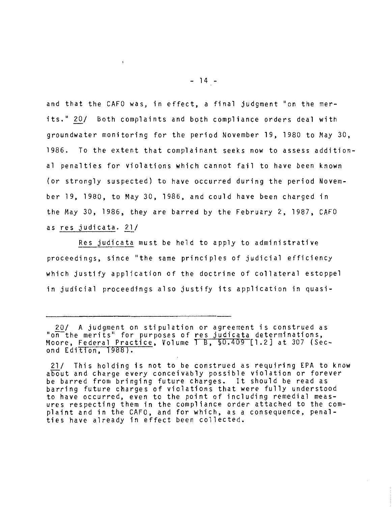and that the CAFO was, in effect, a final judgment "on the merits." 20/ Both complaints and both compliance orders deal with groundwater monitoring for the period November 19, 1980 to May 30, 1986. To the extent that complainant seeks now to assess additional penalties for violations which cannot fail to have been known (or strongly suspected) to have occurred during the period November 19, 1980, to May 30, 1986, and could have been charged in the May 30, 1986, they are barred by the February 2, 1987, CAFO as res judicata. 21/

Res judicata must be held to apply to administrative proceedings, since "the same principles of judicial efficiency which justify application of the doctrine of collateral estoppel in judicial proceedings also justify its application in quasi-

 $\mathbf{r}$ 

<sup>20/</sup> A judgment on stipulation or agreement is construed as "on the merits" for purposes of res judicata determinations, Moore, Federal Practice, Volume 1 B, §0.409 [1.2] at 307 (Second Edition, 1988).

<sup>21/</sup> This holding is not to be construed as requiring EPA to know abOut and charge every conceivably possible violation or forever be barred from bringing future charges. It should be read as barring future charges of violations that were fully understood to have occurred, even to the point of including remedial measures respecting them in the compliance order attached to the complaint and in the CAFO, and for which, as a consequence, penalties have already in effect been collected.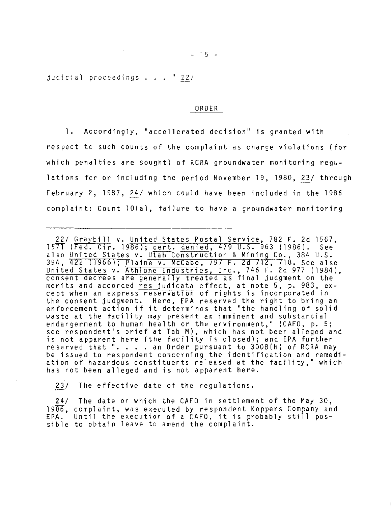judicial proceedings ... " 22/

#### ORDER

1. Accordingly, "accellerated decision'' is granted with respect to such counts of the complaint as charge violations (for which penalties are sought) of RCRA groundwater monitoring regulations for or including the period November 19, 1980, 23/ through February 2,  $1987$ ,  $24/$  which could have been included in the 1986 complaint: Count lO(a), failure to have a groundwater monitoring

22/ Graybill v. United States Postal Service, 782 F. 2d 1567, 15/T (Fed. C1r. 1986); cert. denied, 479 U.S. 963 (1986). See also United States v. Utah Construction & Mining Co., 384 U.S. 394, 422 (1966); Plaine v. McCabe, 797 F. 2d 712, 718. See also United States v. Athlone Industries, Inc., 746 F. 2d 977 (1984), consent decrees are generally treated as final judgment on the merits and accorded res judicata effect, at note 5, p. 983, except when an express reservation of rights is incorporated in the consent judgment. Here, EPA reserved the right to bring an enforcement action if it determines that "the handling of solid waste at the facility may present an imminent and substantial endangerment to human health or the environment," (CAFO, p. 5; see respondent's brief at Tab M), which has not been alleged and is not apparent here (the facility is closed); and EPA further reserved that ". . . . an Order pursuant to 3008(h) of RCRA may be issued to respondent concerning the identification and remediation of hazardous constituents released at the facility," which has not been alleged and is not apparent here.

 $23/$  The effective date of the regulations.

24/ The date on which the CAFO in settlement of the May 30, 1986, complaint, was executed by respondent Koppers Company and EPA. Until the execution of a CAFO, it is probably still possible to obtain leave to amend the complaint.